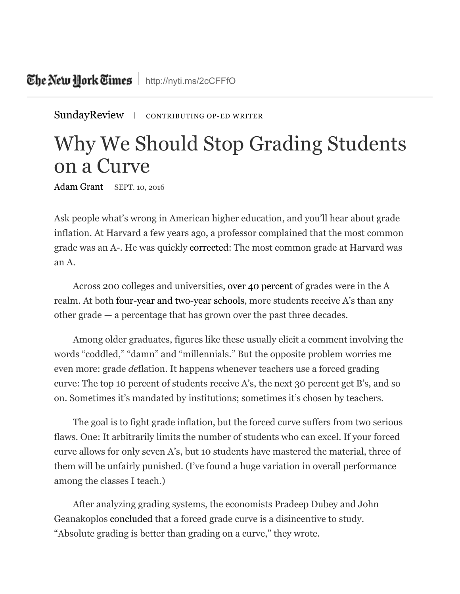[SundayReview](http://www.nytimes.com/pages/opinion/index.html#sundayreview) | CONTRIBUTING OP-ED WRITER

## Why We Should Stop Grading Students on a Curve

[Adam](http://www.nytimes.com/column/adam-grant) Grant SEPT. 10, 2016

Ask people what's wrong in American higher education, and you'll hear about grade inflation. At Harvard a few years ago, a professor complained that the most common grade was an A-. He was quickly [corrected](http://www.usnews.com/opinion/blogs/economic-intelligence/2013/12/26/why-college-grade-inflation-is-a-real-problem-and-how-to-fix-it): The most common grade at Harvard was an A.

Across 200 colleges and universities, over 40 [percent](http://www.tcrecord.org/content.asp?contentid=16473) of grades were in the A realm. At both [four-year](https://www.insidehighered.com/news/2016/03/29/survey-finds-grade-inflation-continues-rise-four-year-colleges-not-community-college) and two-year schools, more students receive A's than any other grade — a percentage that has grown over the past three decades.

Among older graduates, figures like these usually elicit a comment involving the words "coddled," "damn" and "millennials." But the opposite problem worries me even more: grade *de*flation. It happens whenever teachers use a forced grading curve: The top 10 percent of students receive A's, the next 30 percent get B's, and so on. Sometimes it's mandated by institutions; sometimes it's chosen by teachers.

The goal is to fight grade inflation, but the forced curve suffers from two serious flaws. One: It arbitrarily limits the number of students who can excel. If your forced curve allows for only seven A's, but 10 students have mastered the material, three of them will be unfairly punished. (I've found a huge variation in overall performance among the classes I teach.)

After analyzing grading systems, the economists Pradeep Dubey and John Geanakoplos [concluded](http://www.sciencedirect.com/science/article/pii/S0899825610000291) that a forced grade curve is a disincentive to study. "Absolute grading is better than grading on a curve," they wrote.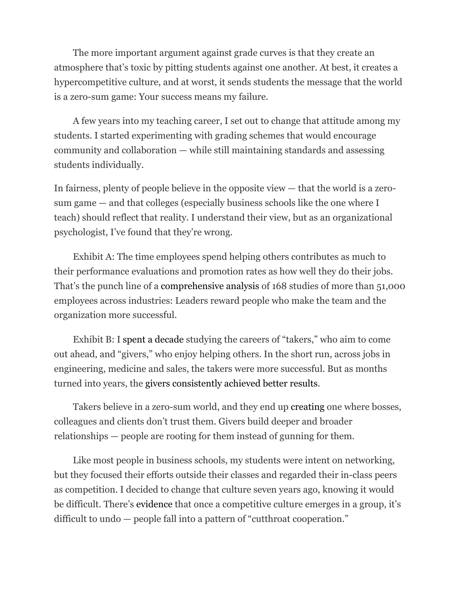The more important argument against grade curves is that they create an atmosphere that's toxic by pitting students against one another. At best, it creates a hypercompetitive culture, and at worst, it sends students the message that the world is a zero-sum game: Your success means my failure.

A few years into my teaching career, I set out to change that attitude among my students. I started experimenting with grading schemes that would encourage community and collaboration — while still maintaining standards and assessing students individually.

In fairness, plenty of people believe in the opposite view — that the world is a zerosum game — and that colleges (especially business schools like the one where I teach) should reflect that reality. I understand their view, but as an organizational psychologist, I've found that they're wrong.

Exhibit A: The time employees spend helping others contributes as much to their performance evaluations and promotion rates as how well they do their jobs. That's the punch line of a [comprehensive](http://psycnet.apa.org/?&fa=main.doiLanding&doi=10.1037/a0013079) analysis of 168 studies of more than 51,000 employees across industries: Leaders reward people who make the team and the organization more successful.

Exhibit B: I spent a [decade](http://www.nytimes.com/2013/03/31/magazine/is-giving-the-secret-to-getting-ahead.html?pagewanted=all) studying the careers of "takers," who aim to come out ahead, and "givers," who enjoy helping others. In the short run, across jobs in engineering, medicine and sales, the takers were more successful. But as months turned into years, the givers [consistently](http://www.adamgrant.net/giveandtake) achieved better results.

Takers believe in a zero-sum world, and they end up [creating](http://amr.aom.org/content/30/1/8.short) one where bosses, colleagues and clients don't trust them. Givers build deeper and broader relationships — people are rooting for them instead of gunning for them.

Like most people in business schools, my students were intent on networking, but they focused their efforts outside their classes and regarded their in-class peers as competition. I decided to change that culture seven years ago, knowing it would be difficult. There's [evidence](http://amj.aom.org/content/49/1/103.short) that once a competitive culture emerges in a group, it's difficult to undo — people fall into a pattern of "cutthroat cooperation."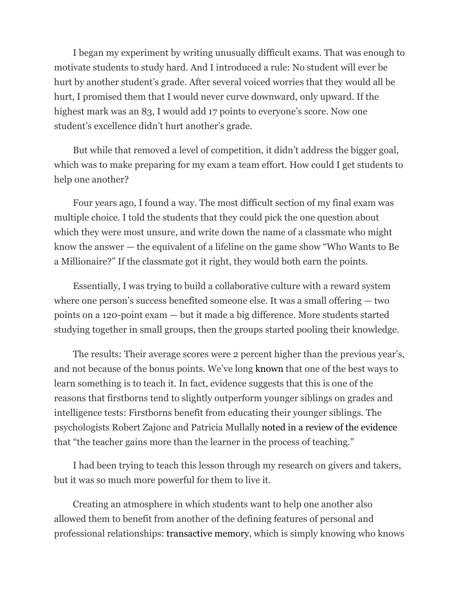I began my experiment by writing unusually difficult exams. That was enough to motivate students to study hard. And I introduced a rule: No student will ever be hurt by another student's grade. After several voiced worries that they would all be hurt, I promised them that I would never curve downward, only upward. If the highest mark was an 83, I would add 17 points to everyone's score. Now one student's excellence didn't hurt another's grade.

But while that removed a level of competition, it didn't address the bigger goal, which was to make preparing for my exam a team effort. How could I get students to help one another?

Four years ago, I found a way. The most difficult section of my final exam was multiple choice. I told the students that they could pick the one question about which they were most unsure, and write down the name of a classmate who might know the answer — the equivalent of a lifeline on the game show "Who Wants to Be a Millionaire?" If the classmate got it right, they would both earn the points.

Essentially, I was trying to build a collaborative culture with a reward system where one person's success benefited someone else. It was a small offering — two points on a 120-point exam — but it made a big difference. More students started studying together in small groups, then the groups started pooling their knowledge.

The results: Their average scores were 2 percent higher than the previous year's, and not because of the bonus points. We've long [known](http://psycnet.apa.org/journals/edu/72/5/593/) that one of the best ways to learn something is to teach it. In fact, evidence suggests that this is one of the reasons that firstborns tend to slightly outperform younger siblings on grades and intelligence tests: Firstborns benefit from educating their younger siblings. The psychologists Robert Zajonc and Patricia Mullally noted in a review of the [evidence](http://psycnet.apa.org/journals/amp/52/7/685/) that "the teacher gains more than the learner in the process of teaching."

I had been trying to teach this lesson through my research on givers and takers, but it was so much more powerful for them to live it.

Creating an atmosphere in which students want to help one another also allowed them to benefit from another of the defining features of personal and professional relationships: [transactive](http://psycnet.apa.org/journals/psp/61/6/923/) memory, which is simply knowing who knows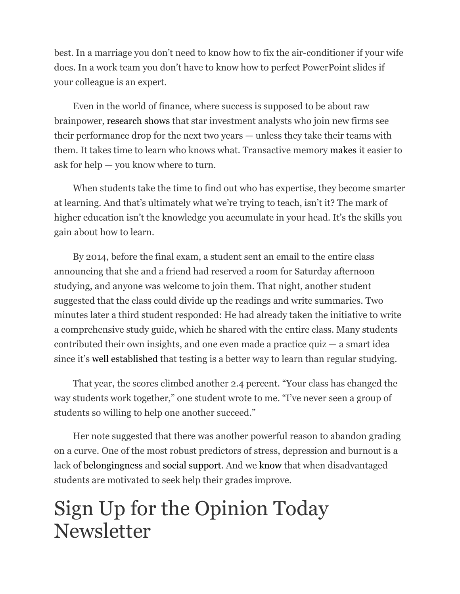best. In a marriage you don't need to know how to fix the air-conditioner if your wife does. In a work team you don't have to know how to perfect PowerPoint slides if your colleague is an expert.

Even in the world of finance, where success is supposed to be about raw brainpower, [research](http://pubsonline.informs.org/doi/abs/10.1287/mnsc.1070.0809) shows that star investment analysts who join new firms see their performance drop for the next two years — unless they take their teams with them. It takes time to learn who knows what. Transactive memory [makes](http://www.tandfonline.com/doi/abs/10.1080/19416520.2011.590300) it easier to ask for help — you know where to turn.

When students take the time to find out who has expertise, they become smarter at learning. And that's ultimately what we're trying to teach, isn't it? The mark of higher education isn't the knowledge you accumulate in your head. It's the skills you gain about how to learn.

By 2014, before the final exam, a student sent an email to the entire class announcing that she and a friend had reserved a room for Saturday afternoon studying, and anyone was welcome to join them. That night, another student suggested that the class could divide up the readings and write summaries. Two minutes later a third student responded: He had already taken the initiative to write a comprehensive study guide, which he shared with the entire class. Many students contributed their own insights, and one even made a practice quiz — a smart idea since it's well [established](https://www.amazon.com/How-We-Learn-Surprising-Happens/dp/0812984293) that testing is a better way to learn than regular studying.

That year, the scores climbed another 2.4 percent. "Your class has changed the way students work together," one student wrote to me. "I've never seen a group of students so willing to help one another succeed."

Her note suggested that there was another powerful reason to abandon grading on a curve. One of the most robust predictors of stress, depression and burnout is a lack of [belongingness](http://psycnet.apa.org/psycinfo/1995-29052-001) and social [support](http://www.sciencedirect.com/science/article/pii/S000187919891661X). And we [know](http://pss.sagepub.com/content/25/4/943.short) that when disadvantaged students are motivated to seek help their grades improve.

## Sign Up for the Opinion Today Newsletter